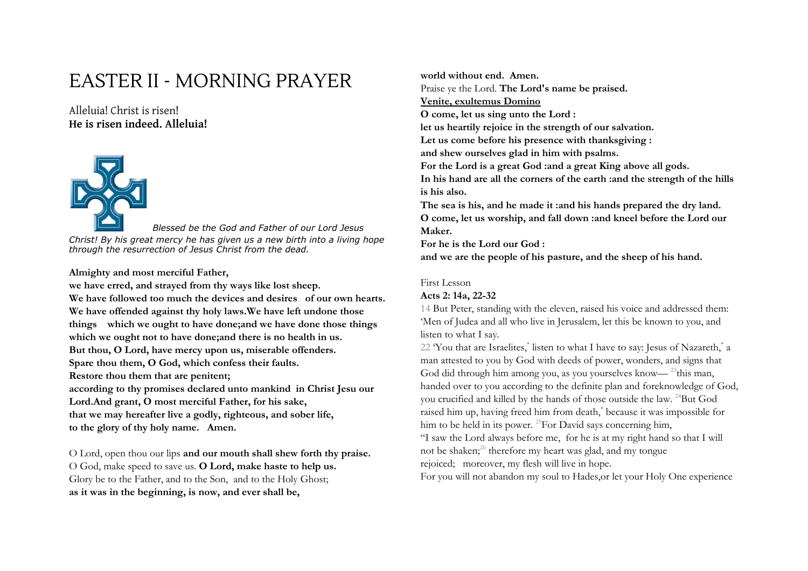# EASTER II - MORNING PRAYER

Alleluia! Christ is risen! **He is risen indeed. Alleluia!**



*Blessed be the God and Father of our Lord Jesus Christ! By his great mercy he has given us a new birth into a living hope through the resurrection of Jesus Christ from the dead.*

**Almighty and most merciful Father,**

**we have erred, and strayed from thy ways like lost sheep. We have followed too much the devices and desires of our own hearts. We have offended against thy holy laws.We have left undone those things which we ought to have done;and we have done those things which we ought not to have done;and there is no health in us. But thou, O Lord, have mercy upon us, miserable offenders. Spare thou them, O God, which confess their faults. Restore thou them that are penitent; according to thy promises declared unto mankind in Christ Jesu our Lord.And grant, O most merciful Father, for his sake, that we may hereafter live a godly, righteous, and sober life, to the glory of thy holy name. Amen.**

O Lord, open thou our lips **and our mouth shall shew forth thy praise.** O God, make speed to save us. **O Lord, make haste to help us.** Glory be to the Father, and to the Son, and to the Holy Ghost; **as it was in the beginning, is now, and ever shall be,**

**world without end. Amen.** Praise ye the Lord. **The Lord's name be praised. Venite, exultemus Domino O come, let us sing unto the Lord : let us heartily rejoice in the strength of our salvation. Let us come before his presence with thanksgiving : and shew ourselves glad in him with psalms. For the Lord is a great God :and a great King above all gods. In his hand are all the corners of the earth :and the strength of the hills is his also. The sea is his, and he made it :and his hands prepared the dry land. O come, let us worship, and fall down :and kneel before the Lord our Maker. For he is the Lord our God : and we are the people of his pasture, and the sheep of his hand.**

## First Lesson

## **Acts 2: 14a, 22-32**

14 But Peter, standing with the eleven, raised his voice and addressed them: 'Men of Judea and all who live in Jerusalem, let this be known to you, and listen to what I say.

22 You that are Israelites,\* listen to what I have to say: Jesus of Nazareth,\* a man attested to you by God with deeds of power, wonders, and signs that God did through him among you, as you yourselves know— $23$ this man, handed over to you according to the definite plan and foreknowledge of God, you crucified and killed by the hands of those outside the law. <sup>24</sup>But God raised him up, having freed him from death, \* because it was impossible for him to be held in its power.<sup>25</sup>For David says concerning him, "I saw the Lord always before me, for he is at my right hand so that I will

not be shaken; 26 therefore my heart was glad, and my tongue

rejoiced; moreover, my flesh will live in hope.

For you will not abandon my soul to Hades,or let your Holy One experience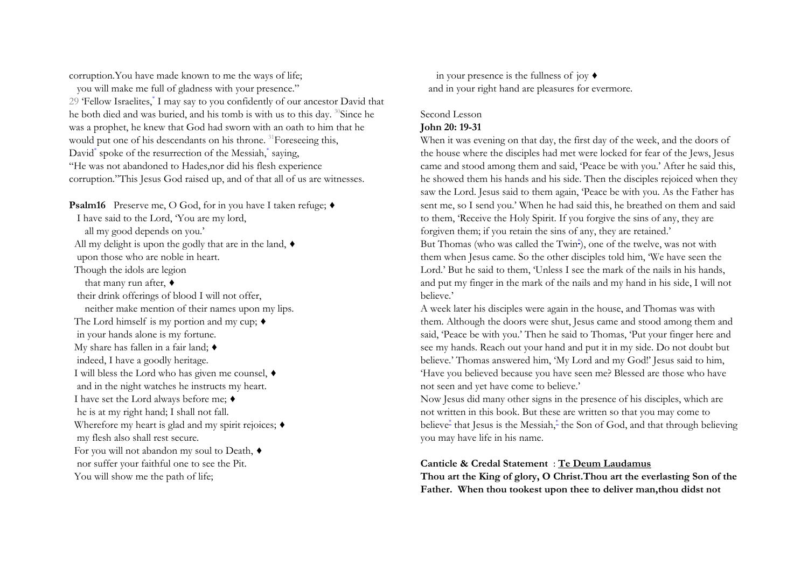corruption.You have made known to me the ways of life; you will make me full of gladness with your presence." 29 'Fellow Israelites, \* I may say to you confidently of our ancestor David that he both died and was buried, and his tomb is with us to this day. <sup>30</sup>Since he was a prophet, he knew that God had sworn with an oath to him that he would put one of his descendants on his throne.<sup>31</sup>Foreseeing this, David<sup>\*</sup> spoke of the resurrection of the Messiah,<sup>\*</sup> saying, "He was not abandoned to Hades,nor did his flesh experience corruption."This Jesus God raised up, and of that all of us are witnesses.

**Psalm16** Preserve me, O God, for in you have I taken refuge; ♦ I have said to the Lord, 'You are my lord, all my good depends on you.' All my delight is upon the godly that are in the land, ♦ upon those who are noble in heart. Though the idols are legion that many run after, ♦ their drink offerings of blood I will not offer, neither make mention of their names upon my lips. The Lord himself is my portion and my cup;  $\blacklozenge$ in your hands alone is my fortune. My share has fallen in a fair land; ♦ indeed, I have a goodly heritage. I will bless the Lord who has given me counsel, ♦ and in the night watches he instructs my heart. I have set the Lord always before me; ♦ he is at my right hand; I shall not fall. Wherefore my heart is glad and my spirit rejoices;  $\blacklozenge$ my flesh also shall rest secure. For you will not abandon my soul to Death, ♦ nor suffer your faithful one to see the Pit. You will show me the path of life;

in your presence is the fullness of joy ♦ and in your right hand are pleasures for evermore.

## Second Lesson **John 20: 19-31**

When it was evening on that day, the first day of the week, and the doors of the house where the disciples had met were locked for fear of the Jews, Jesus came and stood among them and said, 'Peace be with you.' After he said this, he showed them his hands and his side. Then the disciples rejoiced when they saw the Lord. Jesus said to them again, 'Peace be with you. As the Father has sent me, so I send you.' When he had said this, he breathed on them and said to them, 'Receive the Holy Spirit. If you forgive the sins of any, they are forgiven them; if you retain the sins of any, they are retained.' But Thomas (who was called the Twin \* ), one of the twelve, was not with them when Jesus came. So the other disciples told him, 'We have seen the Lord.' But he said to them, 'Unless I see the mark of the nails in his hands, and put my finger in the mark of the nails and my hand in his side, I will not believe.'

A week later his disciples were again in the house, and Thomas was with them. Although the doors were shut, Jesus came and stood among them and said, 'Peace be with you.' Then he said to Thomas, 'Put your finger here and see my hands. Reach out your hand and put it in my side. Do not doubt but believe.' Thomas answered him, 'My Lord and my God!' Jesus said to him, 'Have you believed because you have seen me? Blessed are those who have not seen and yet have come to believe.'

Now Jesus did many other signs in the presence of his disciples, which are not written in this book. But these are written so that you may come to believe<sup>\*</sup> that Jesus is the Messiah,<sup>\*</sup> the Son of God, and that through believing you may have life in his name.

### **Canticle & Credal Statement** : **Te Deum Laudamus**

**Thou art the King of glory, O Christ.Thou art the everlasting Son of the Father. When thou tookest upon thee to deliver man,thou didst not**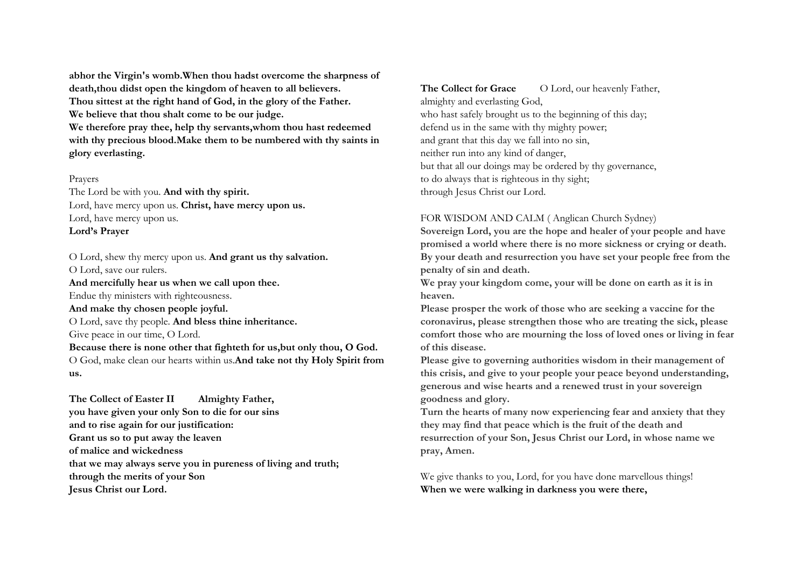**abhor the Virgin's womb.When thou hadst overcome the sharpness of death,thou didst open the kingdom of heaven to all believers. Thou sittest at the right hand of God, in the glory of the Father.**

**We believe that thou shalt come to be our judge.**

**We therefore pray thee, help thy servants,whom thou hast redeemed with thy precious blood.Make them to be numbered with thy saints in glory everlasting.**

#### Prayers

The Lord be with you. **And with thy spirit.** Lord, have mercy upon us. **Christ, have mercy upon us.** Lord, have mercy upon us. **Lord's Prayer**

O Lord, shew thy mercy upon us. **And grant us thy salvation.** O Lord, save our rulers.

**And mercifully hear us when we call upon thee.**

Endue thy ministers with righteousness.

**And make thy chosen people joyful.**

O Lord, save thy people. **And bless thine inheritance.**

Give peace in our time, O Lord.

**Because there is none other that fighteth for us,but only thou, O God.** O God, make clean our hearts within us.**And take not thy Holy Spirit from us.**

**The Collect of Easter II Almighty Father, you have given your only Son to die for our sins and to rise again for our justification: Grant us so to put away the leaven of malice and wickedness that we may always serve you in pureness of living and truth; through the merits of your Son Jesus Christ our Lord.**

**The Collect for Grace** O Lord, our heavenly Father, almighty and everlasting God, who hast safely brought us to the beginning of this day; defend us in the same with thy mighty power; and grant that this day we fall into no sin, neither run into any kind of danger, but that all our doings may be ordered by thy governance, to do always that is righteous in thy sight; through Jesus Christ our Lord.

## FOR WISDOM AND CALM ( Anglican Church Sydney)

**Sovereign Lord, you are the hope and healer of your people and have promised a world where there is no more sickness or crying or death. By your death and resurrection you have set your people free from the penalty of sin and death.**

**We pray your kingdom come, your will be done on earth as it is in heaven.**

**Please prosper the work of those who are seeking a vaccine for the coronavirus, please strengthen those who are treating the sick, please comfort those who are mourning the loss of loved ones or living in fear of this disease.**

**Please give to governing authorities wisdom in their management of this crisis, and give to your people your peace beyond understanding, generous and wise hearts and a renewed trust in your sovereign goodness and glory.**

**Turn the hearts of many now experiencing fear and anxiety that they they may find that peace which is the fruit of the death and resurrection of your Son, Jesus Christ our Lord, in whose name we pray, Amen.**

We give thanks to you, Lord, for you have done marvellous things! **When we were walking in darkness you were there,**